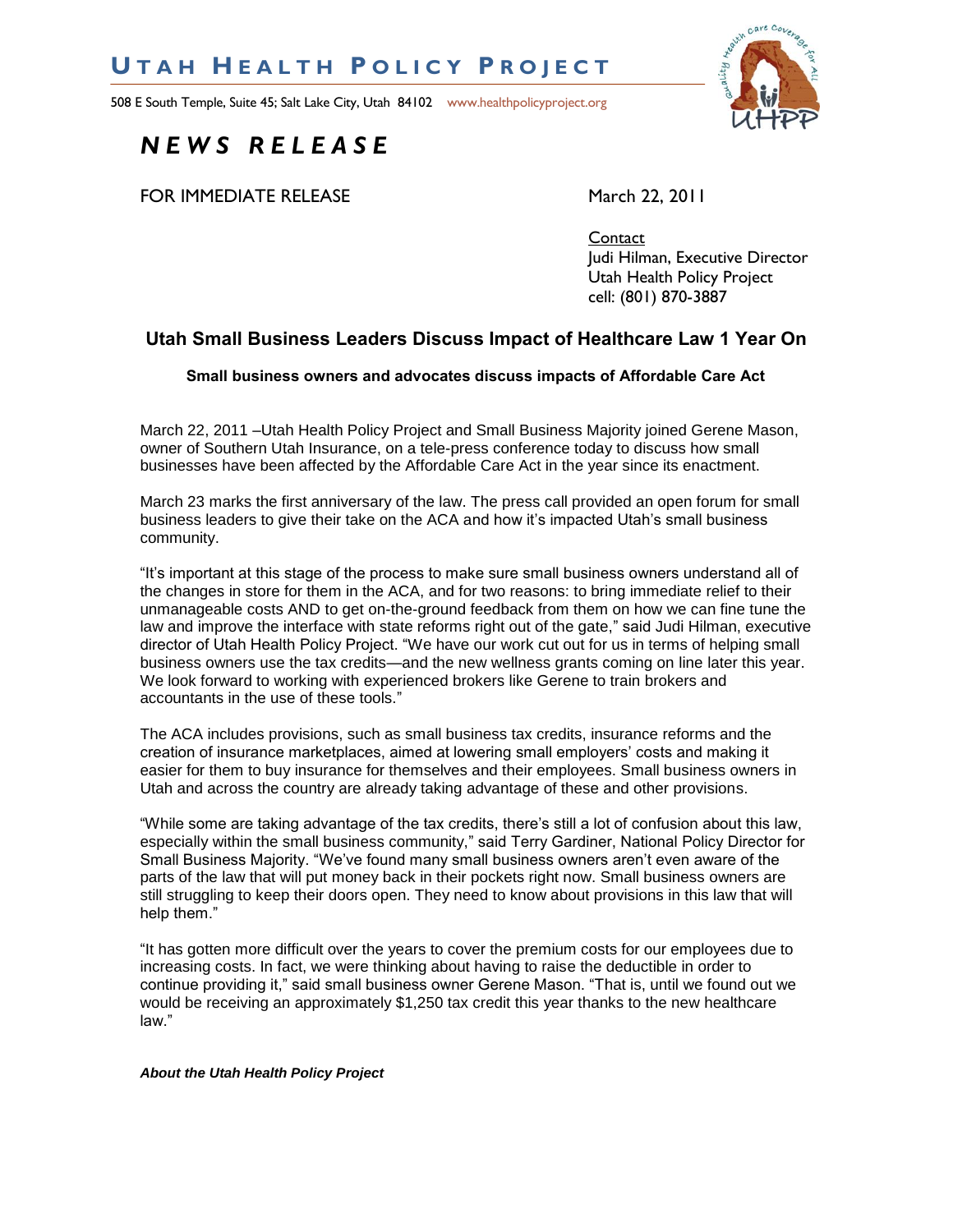## **U T A H H E A L T H P O L I C Y P R O J E C T**

508 E South Temple, Suite 45; Salt Lake City, Utah 84102 www.healthpolicyproject.org



# *N E W S R E L E A S E*

FOR IMMEDIATE RELEASE March 22, 2011

**Contact** Judi Hilman, Executive Director Utah Health Policy Project cell: (801) 870-3887

## **Utah Small Business Leaders Discuss Impact of Healthcare Law 1 Year On**

## **Small business owners and advocates discuss impacts of Affordable Care Act**

March 22, 2011 –Utah Health Policy Project and Small Business Majority joined Gerene Mason, owner of Southern Utah Insurance, on a tele-press conference today to discuss how small businesses have been affected by the Affordable Care Act in the year since its enactment.

March 23 marks the first anniversary of the law. The press call provided an open forum for small business leaders to give their take on the ACA and how it's impacted Utah's small business community.

"It's important at this stage of the process to make sure small business owners understand all of the changes in store for them in the ACA, and for two reasons: to bring immediate relief to their unmanageable costs AND to get on-the-ground feedback from them on how we can fine tune the law and improve the interface with state reforms right out of the gate," said Judi Hilman, executive director of Utah Health Policy Project. "We have our work cut out for us in terms of helping small business owners use the tax credits—and the new wellness grants coming on line later this year. We look forward to working with experienced brokers like Gerene to train brokers and accountants in the use of these tools.‖

The ACA includes provisions, such as small business tax credits, insurance reforms and the creation of insurance marketplaces, aimed at lowering small employers' costs and making it easier for them to buy insurance for themselves and their employees. Small business owners in Utah and across the country are already taking advantage of these and other provisions.

―While some are taking advantage of the tax credits, there's still a lot of confusion about this law, especially within the small business community," said Terry Gardiner, National Policy Director for Small Business Majority. "We've found many small business owners aren't even aware of the parts of the law that will put money back in their pockets right now. Small business owners are still struggling to keep their doors open. They need to know about provisions in this law that will help them."

"It has gotten more difficult over the years to cover the premium costs for our employees due to increasing costs. In fact, we were thinking about having to raise the deductible in order to continue providing it," said small business owner Gerene Mason. "That is, until we found out we would be receiving an approximately \$1,250 tax credit this year thanks to the new healthcare law."

### *About the Utah Health Policy Project*